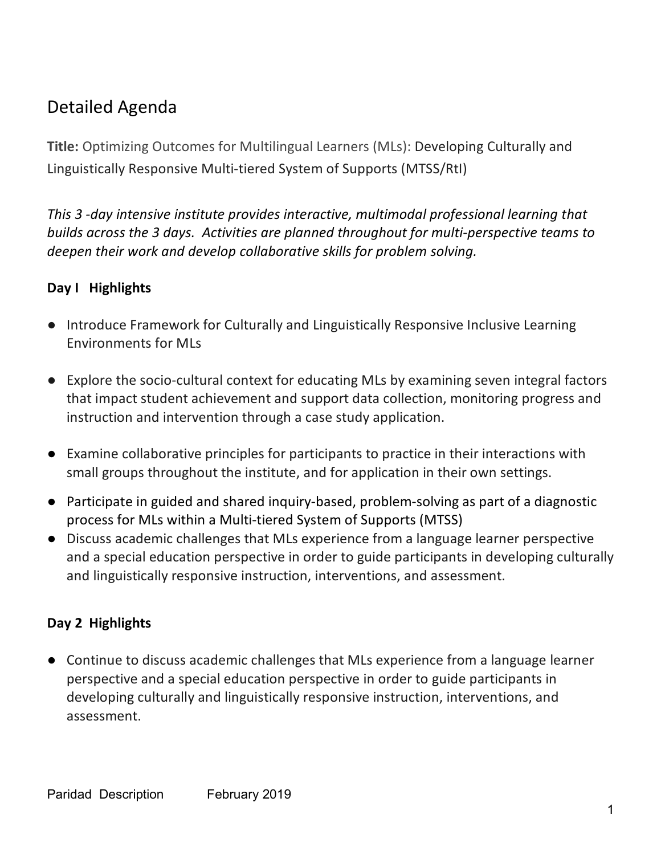# Detailed Agenda

**Title:** Optimizing Outcomes for Multilingual Learners (MLs): Developing Culturally and Linguistically Responsive Multi-tiered System of Supports (MTSS/RtI)

*This 3 -day intensive institute provides interactive, multimodal professional learning that builds across the 3 days. Activities are planned throughout for multi-perspective teams to deepen their work and develop collaborative skills for problem solving.* 

## **Day I Highlights**

- Introduce Framework for Culturally and Linguistically Responsive Inclusive Learning Environments for MLs
- Explore the socio-cultural context for educating MLs by examining seven integral factors that impact student achievement and support data collection, monitoring progress and instruction and intervention through a case study application.
- Examine collaborative principles for participants to practice in their interactions with small groups throughout the institute, and for application in their own settings.
- Participate in guided and shared inquiry-based, problem-solving as part of a diagnostic process for MLs within a Multi-tiered System of Supports (MTSS)
- Discuss academic challenges that MLs experience from a language learner perspective and a special education perspective in order to guide participants in developing culturally and linguistically responsive instruction, interventions, and assessment.

### **Day 2 Highlights**

● Continue to discuss academic challenges that MLs experience from a language learner perspective and a special education perspective in order to guide participants in developing culturally and linguistically responsive instruction, interventions, and assessment.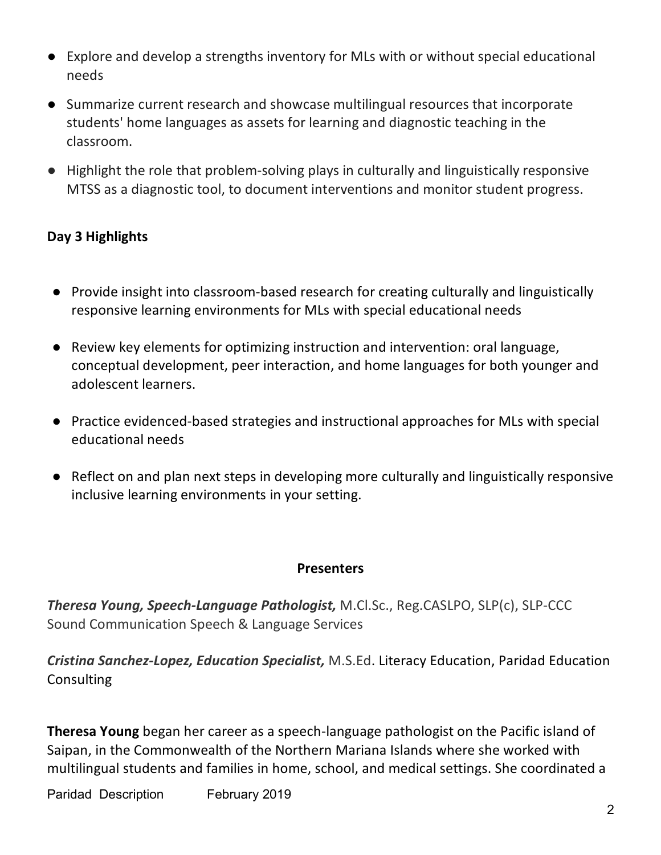- Explore and develop a strengths inventory for MLs with or without special educational needs
- Summarize current research and showcase multilingual resources that incorporate students' home languages as assets for learning and diagnostic teaching in the classroom.
- Highlight the role that problem-solving plays in culturally and linguistically responsive MTSS as a diagnostic tool, to document interventions and monitor student progress.

## **Day 3 Highlights**

- Provide insight into classroom-based research for creating culturally and linguistically responsive learning environments for MLs with special educational needs
- Review key elements for optimizing instruction and intervention: oral language, conceptual development, peer interaction, and home languages for both younger and adolescent learners.
- Practice evidenced-based strategies and instructional approaches for MLs with special educational needs
- Reflect on and plan next steps in developing more culturally and linguistically responsive inclusive learning environments in your setting.

#### **Presenters**

*Theresa Young, Speech-Language Pathologist,* M.Cl.Sc., Reg.CASLPO, SLP(c), SLP-CCC Sound Communication Speech & Language Services

*Cristina Sanchez-Lopez, Education Specialist,* M.S.Ed. Literacy Education, Paridad Education **Consulting** 

**Theresa Young** began her career as a speech-language pathologist on the Pacific island of Saipan, in the Commonwealth of the Northern Mariana Islands where she worked with multilingual students and families in home, school, and medical settings. She coordinated a

Paridad Description February 2019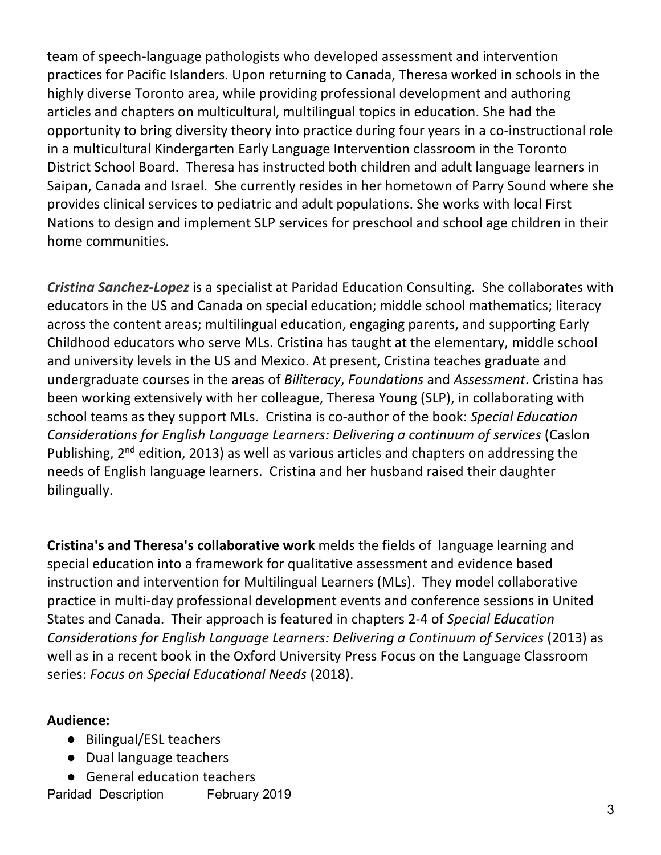team of speech-language pathologists who developed assessment and intervention practices for Pacific Islanders. Upon returning to Canada, Theresa worked in schools in the highly diverse Toronto area, while providing professional development and authoring articles and chapters on multicultural, multilingual topics in education. She had the opportunity to bring diversity theory into practice during four years in a co-instructional role in a multicultural Kindergarten Early Language Intervention classroom in the Toronto District School Board. Theresa has instructed both children and adult language learners in Saipan, Canada and Israel. She currently resides in her hometown of Parry Sound where she provides clinical services to pediatric and adult populations. She works with local First Nations to design and implement SLP services for preschool and school age children in their home communities.

*Cristina Sanchez-Lopez* is a specialist at Paridad Education Consulting. She collaborates with educators in the US and Canada on special education; middle school mathematics; literacy across the content areas; multilingual education, engaging parents, and supporting Early Childhood educators who serve MLs. Cristina has taught at the elementary, middle school and university levels in the US and Mexico. At present, Cristina teaches graduate and undergraduate courses in the areas of *Biliteracy*, *Foundations* and *Assessment*. Cristina has been working extensively with her colleague, Theresa Young (SLP), in collaborating with school teams as they support MLs. Cristina is co-author of the book: *Special Education Considerations for English Language Learners: Delivering a continuum of services* (Caslon Publishing, 2<sup>nd</sup> edition, 2013) as well as various articles and chapters on addressing the needs of English language learners. Cristina and her husband raised their daughter bilingually.

**Cristina's and Theresa's collaborative work** melds the fields of language learning and special education into a framework for qualitative assessment and evidence based instruction and intervention for Multilingual Learners (MLs). They model collaborative practice in multi-day professional development events and conference sessions in United States and Canada. Their approach is featured in chapters 2-4 of *Special Education Considerations for English Language Learners: Delivering a Continuum of Services* (2013) as well as in a recent book in the Oxford University Press Focus on the Language Classroom series: *Focus on Special Educational Needs* (2018).

#### **Audience:**

- Bilingual/ESL teachers
- Dual language teachers
- General education teachers

Paridad Description February 2019